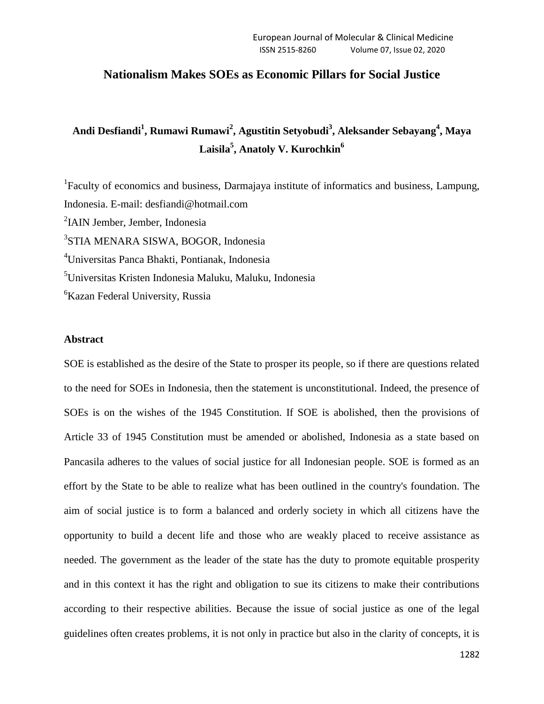## **Nationalism Makes SOEs as Economic Pillars for Social Justice**

# **Andi Desfiandi<sup>1</sup> , Rumawi Rumawi<sup>2</sup> , Agustitin Setyobudi<sup>3</sup> , Aleksander Sebayang<sup>4</sup> , Maya Laisila<sup>5</sup> , Anatoly V. Kurochkin<sup>6</sup>**

<sup>1</sup>Faculty of economics and business, Darmajaya institute of informatics and business, Lampung, Indonesia. E-mail: desfiandi@hotmail.com 2 IAIN Jember, Jember, Indonesia 3 STIA MENARA SISWA, BOGOR, Indonesia <sup>4</sup>Universitas Panca Bhakti, Pontianak, Indonesia <sup>5</sup>Universitas Kristen Indonesia Maluku, Maluku, Indonesia <sup>6</sup>Kazan Federal University, Russia

## **Abstract**

SOE is established as the desire of the State to prosper its people, so if there are questions related to the need for SOEs in Indonesia, then the statement is unconstitutional. Indeed, the presence of SOEs is on the wishes of the 1945 Constitution. If SOE is abolished, then the provisions of Article 33 of 1945 Constitution must be amended or abolished, Indonesia as a state based on Pancasila adheres to the values of social justice for all Indonesian people. SOE is formed as an effort by the State to be able to realize what has been outlined in the country's foundation. The aim of social justice is to form a balanced and orderly society in which all citizens have the opportunity to build a decent life and those who are weakly placed to receive assistance as needed. The government as the leader of the state has the duty to promote equitable prosperity and in this context it has the right and obligation to sue its citizens to make their contributions according to their respective abilities. Because the issue of social justice as one of the legal guidelines often creates problems, it is not only in practice but also in the clarity of concepts, it is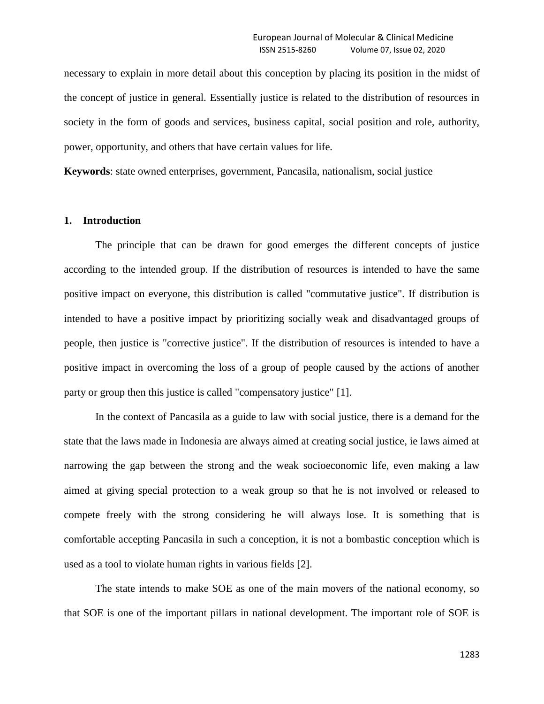necessary to explain in more detail about this conception by placing its position in the midst of the concept of justice in general. Essentially justice is related to the distribution of resources in society in the form of goods and services, business capital, social position and role, authority, power, opportunity, and others that have certain values for life.

**Keywords**: state owned enterprises, government, Pancasila, nationalism, social justice

#### **1. Introduction**

The principle that can be drawn for good emerges the different concepts of justice according to the intended group. If the distribution of resources is intended to have the same positive impact on everyone, this distribution is called "commutative justice". If distribution is intended to have a positive impact by prioritizing socially weak and disadvantaged groups of people, then justice is "corrective justice". If the distribution of resources is intended to have a positive impact in overcoming the loss of a group of people caused by the actions of another party or group then this justice is called "compensatory justice" [1].

In the context of Pancasila as a guide to law with social justice, there is a demand for the state that the laws made in Indonesia are always aimed at creating social justice, ie laws aimed at narrowing the gap between the strong and the weak socioeconomic life, even making a law aimed at giving special protection to a weak group so that he is not involved or released to compete freely with the strong considering he will always lose. It is something that is comfortable accepting Pancasila in such a conception, it is not a bombastic conception which is used as a tool to violate human rights in various fields [2].

The state intends to make SOE as one of the main movers of the national economy, so that SOE is one of the important pillars in national development. The important role of SOE is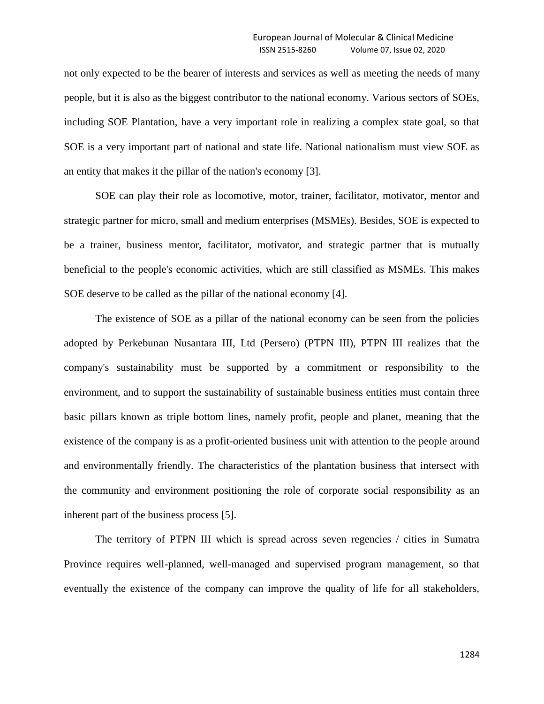not only expected to be the bearer of interests and services as well as meeting the needs of many people, but it is also as the biggest contributor to the national economy. Various sectors of SOEs, including SOE Plantation, have a very important role in realizing a complex state goal, so that SOE is a very important part of national and state life. National nationalism must view SOE as an entity that makes it the pillar of the nation's economy [3].

SOE can play their role as locomotive, motor, trainer, facilitator, motivator, mentor and strategic partner for micro, small and medium enterprises (MSMEs). Besides, SOE is expected to be a trainer, business mentor, facilitator, motivator, and strategic partner that is mutually beneficial to the people's economic activities, which are still classified as MSMEs. This makes SOE deserve to be called as the pillar of the national economy [4].

The existence of SOE as a pillar of the national economy can be seen from the policies adopted by Perkebunan Nusantara III, Ltd (Persero) (PTPN III), PTPN III realizes that the company's sustainability must be supported by a commitment or responsibility to the environment, and to support the sustainability of sustainable business entities must contain three basic pillars known as triple bottom lines, namely profit, people and planet, meaning that the existence of the company is as a profit-oriented business unit with attention to the people around and environmentally friendly. The characteristics of the plantation business that intersect with the community and environment positioning the role of corporate social responsibility as an inherent part of the business process [5].

The territory of PTPN III which is spread across seven regencies / cities in Sumatra Province requires well-planned, well-managed and supervised program management, so that eventually the existence of the company can improve the quality of life for all stakeholders,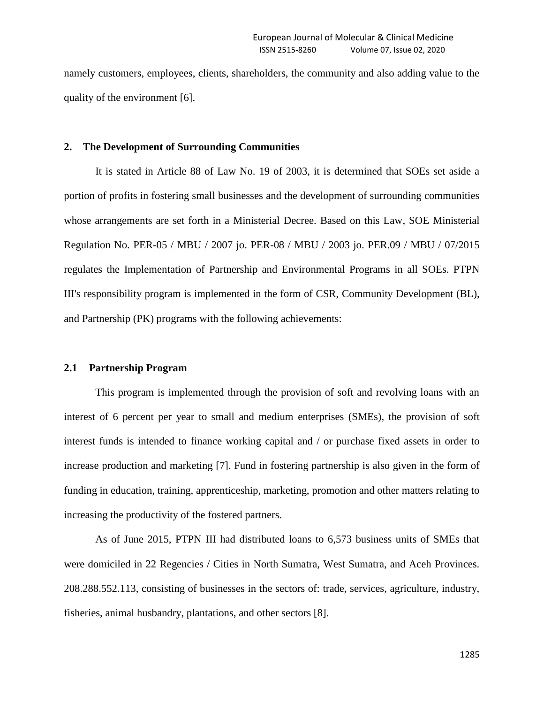namely customers, employees, clients, shareholders, the community and also adding value to the quality of the environment [6].

## **2. The Development of Surrounding Communities**

It is stated in Article 88 of Law No. 19 of 2003, it is determined that SOEs set aside a portion of profits in fostering small businesses and the development of surrounding communities whose arrangements are set forth in a Ministerial Decree. Based on this Law, SOE Ministerial Regulation No. PER-05 / MBU / 2007 jo. PER-08 / MBU / 2003 jo. PER.09 / MBU / 07/2015 regulates the Implementation of Partnership and Environmental Programs in all SOEs. PTPN III's responsibility program is implemented in the form of CSR, Community Development (BL), and Partnership (PK) programs with the following achievements:

#### **2.1 Partnership Program**

This program is implemented through the provision of soft and revolving loans with an interest of 6 percent per year to small and medium enterprises (SMEs), the provision of soft interest funds is intended to finance working capital and / or purchase fixed assets in order to increase production and marketing [7]. Fund in fostering partnership is also given in the form of funding in education, training, apprenticeship, marketing, promotion and other matters relating to increasing the productivity of the fostered partners.

As of June 2015, PTPN III had distributed loans to 6,573 business units of SMEs that were domiciled in 22 Regencies / Cities in North Sumatra, West Sumatra, and Aceh Provinces. 208.288.552.113, consisting of businesses in the sectors of: trade, services, agriculture, industry, fisheries, animal husbandry, plantations, and other sectors [8].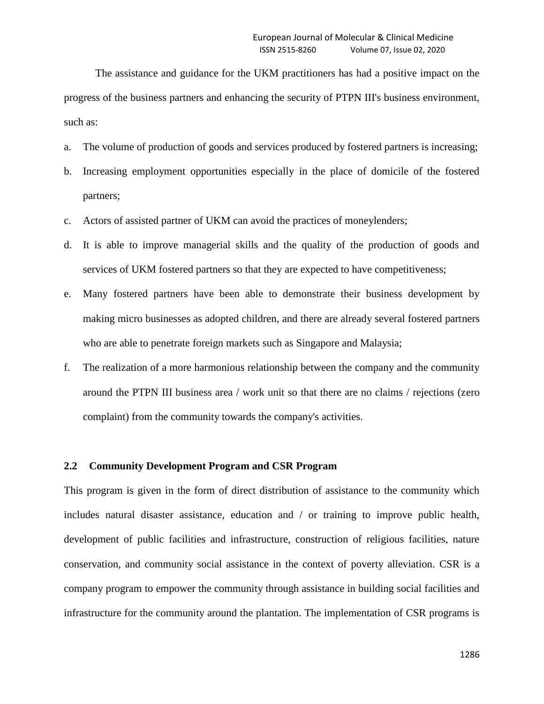The assistance and guidance for the UKM practitioners has had a positive impact on the progress of the business partners and enhancing the security of PTPN III's business environment, such as:

- a. The volume of production of goods and services produced by fostered partners is increasing;
- b. Increasing employment opportunities especially in the place of domicile of the fostered partners;
- c. Actors of assisted partner of UKM can avoid the practices of moneylenders;
- d. It is able to improve managerial skills and the quality of the production of goods and services of UKM fostered partners so that they are expected to have competitiveness;
- e. Many fostered partners have been able to demonstrate their business development by making micro businesses as adopted children, and there are already several fostered partners who are able to penetrate foreign markets such as Singapore and Malaysia;
- f. The realization of a more harmonious relationship between the company and the community around the PTPN III business area / work unit so that there are no claims / rejections (zero complaint) from the community towards the company's activities.

#### **2.2 Community Development Program and CSR Program**

This program is given in the form of direct distribution of assistance to the community which includes natural disaster assistance, education and / or training to improve public health, development of public facilities and infrastructure, construction of religious facilities, nature conservation, and community social assistance in the context of poverty alleviation. CSR is a company program to empower the community through assistance in building social facilities and infrastructure for the community around the plantation. The implementation of CSR programs is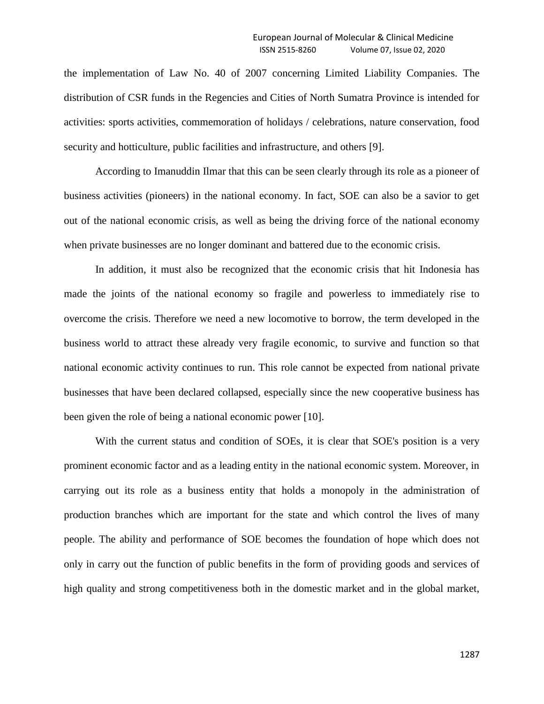the implementation of Law No. 40 of 2007 concerning Limited Liability Companies. The distribution of CSR funds in the Regencies and Cities of North Sumatra Province is intended for activities: sports activities, commemoration of holidays / celebrations, nature conservation, food security and hotticulture, public facilities and infrastructure, and others [9].

According to Imanuddin Ilmar that this can be seen clearly through its role as a pioneer of business activities (pioneers) in the national economy. In fact, SOE can also be a savior to get out of the national economic crisis, as well as being the driving force of the national economy when private businesses are no longer dominant and battered due to the economic crisis.

In addition, it must also be recognized that the economic crisis that hit Indonesia has made the joints of the national economy so fragile and powerless to immediately rise to overcome the crisis. Therefore we need a new locomotive to borrow, the term developed in the business world to attract these already very fragile economic, to survive and function so that national economic activity continues to run. This role cannot be expected from national private businesses that have been declared collapsed, especially since the new cooperative business has been given the role of being a national economic power [10].

With the current status and condition of SOEs, it is clear that SOE's position is a very prominent economic factor and as a leading entity in the national economic system. Moreover, in carrying out its role as a business entity that holds a monopoly in the administration of production branches which are important for the state and which control the lives of many people. The ability and performance of SOE becomes the foundation of hope which does not only in carry out the function of public benefits in the form of providing goods and services of high quality and strong competitiveness both in the domestic market and in the global market,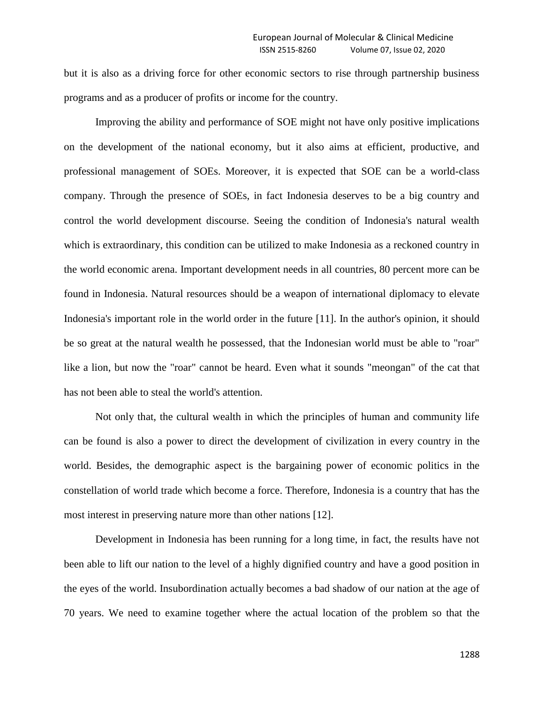but it is also as a driving force for other economic sectors to rise through partnership business programs and as a producer of profits or income for the country.

Improving the ability and performance of SOE might not have only positive implications on the development of the national economy, but it also aims at efficient, productive, and professional management of SOEs. Moreover, it is expected that SOE can be a world-class company. Through the presence of SOEs, in fact Indonesia deserves to be a big country and control the world development discourse. Seeing the condition of Indonesia's natural wealth which is extraordinary, this condition can be utilized to make Indonesia as a reckoned country in the world economic arena. Important development needs in all countries, 80 percent more can be found in Indonesia. Natural resources should be a weapon of international diplomacy to elevate Indonesia's important role in the world order in the future [11]. In the author's opinion, it should be so great at the natural wealth he possessed, that the Indonesian world must be able to "roar" like a lion, but now the "roar" cannot be heard. Even what it sounds "meongan" of the cat that has not been able to steal the world's attention.

Not only that, the cultural wealth in which the principles of human and community life can be found is also a power to direct the development of civilization in every country in the world. Besides, the demographic aspect is the bargaining power of economic politics in the constellation of world trade which become a force. Therefore, Indonesia is a country that has the most interest in preserving nature more than other nations [12].

Development in Indonesia has been running for a long time, in fact, the results have not been able to lift our nation to the level of a highly dignified country and have a good position in the eyes of the world. Insubordination actually becomes a bad shadow of our nation at the age of 70 years. We need to examine together where the actual location of the problem so that the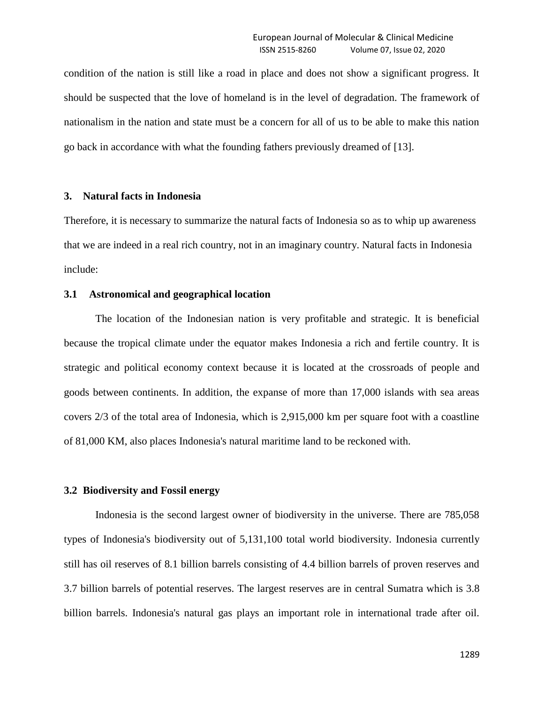condition of the nation is still like a road in place and does not show a significant progress. It should be suspected that the love of homeland is in the level of degradation. The framework of nationalism in the nation and state must be a concern for all of us to be able to make this nation go back in accordance with what the founding fathers previously dreamed of [13].

## **3. Natural facts in Indonesia**

Therefore, it is necessary to summarize the natural facts of Indonesia so as to whip up awareness that we are indeed in a real rich country, not in an imaginary country. Natural facts in Indonesia include:

## **3.1 Astronomical and geographical location**

The location of the Indonesian nation is very profitable and strategic. It is beneficial because the tropical climate under the equator makes Indonesia a rich and fertile country. It is strategic and political economy context because it is located at the crossroads of people and goods between continents. In addition, the expanse of more than 17,000 islands with sea areas covers 2/3 of the total area of Indonesia, which is 2,915,000 km per square foot with a coastline of 81,000 KM, also places Indonesia's natural maritime land to be reckoned with.

#### **3.2 Biodiversity and Fossil energy**

Indonesia is the second largest owner of biodiversity in the universe. There are 785,058 types of Indonesia's biodiversity out of 5,131,100 total world biodiversity. Indonesia currently still has oil reserves of 8.1 billion barrels consisting of 4.4 billion barrels of proven reserves and 3.7 billion barrels of potential reserves. The largest reserves are in central Sumatra which is 3.8 billion barrels. Indonesia's natural gas plays an important role in international trade after oil.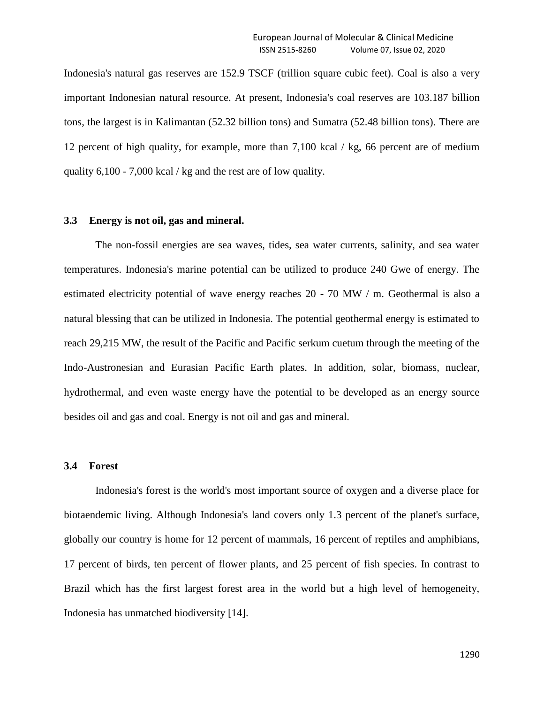Indonesia's natural gas reserves are 152.9 TSCF (trillion square cubic feet). Coal is also a very important Indonesian natural resource. At present, Indonesia's coal reserves are 103.187 billion tons, the largest is in Kalimantan (52.32 billion tons) and Sumatra (52.48 billion tons). There are 12 percent of high quality, for example, more than 7,100 kcal / kg, 66 percent are of medium quality 6,100 - 7,000 kcal / kg and the rest are of low quality.

#### **3.3 Energy is not oil, gas and mineral.**

The non-fossil energies are sea waves, tides, sea water currents, salinity, and sea water temperatures. Indonesia's marine potential can be utilized to produce 240 Gwe of energy. The estimated electricity potential of wave energy reaches 20 - 70 MW / m. Geothermal is also a natural blessing that can be utilized in Indonesia. The potential geothermal energy is estimated to reach 29,215 MW, the result of the Pacific and Pacific serkum cuetum through the meeting of the Indo-Austronesian and Eurasian Pacific Earth plates. In addition, solar, biomass, nuclear, hydrothermal, and even waste energy have the potential to be developed as an energy source besides oil and gas and coal. Energy is not oil and gas and mineral.

#### **3.4 Forest**

Indonesia's forest is the world's most important source of oxygen and a diverse place for biotaendemic living. Although Indonesia's land covers only 1.3 percent of the planet's surface, globally our country is home for 12 percent of mammals, 16 percent of reptiles and amphibians, 17 percent of birds, ten percent of flower plants, and 25 percent of fish species. In contrast to Brazil which has the first largest forest area in the world but a high level of hemogeneity, Indonesia has unmatched biodiversity [14].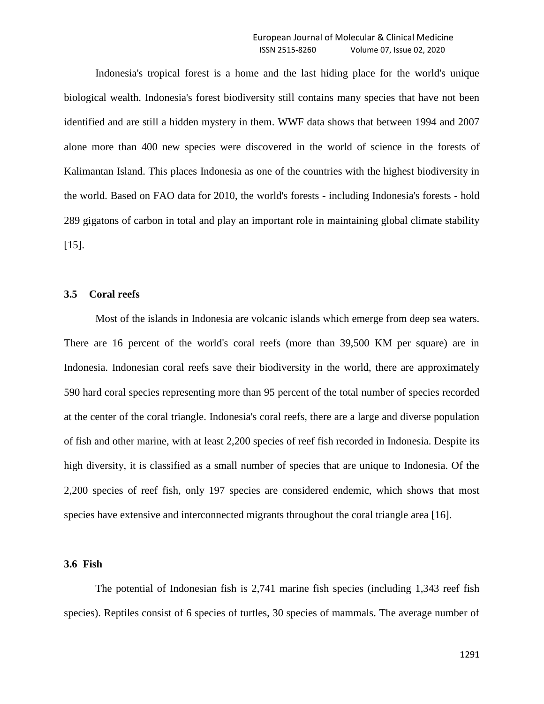Indonesia's tropical forest is a home and the last hiding place for the world's unique biological wealth. Indonesia's forest biodiversity still contains many species that have not been identified and are still a hidden mystery in them. WWF data shows that between 1994 and 2007 alone more than 400 new species were discovered in the world of science in the forests of Kalimantan Island. This places Indonesia as one of the countries with the highest biodiversity in the world. Based on FAO data for 2010, the world's forests - including Indonesia's forests - hold 289 gigatons of carbon in total and play an important role in maintaining global climate stability  $[15]$ .

## **3.5 Coral reefs**

Most of the islands in Indonesia are volcanic islands which emerge from deep sea waters. There are 16 percent of the world's coral reefs (more than 39,500 KM per square) are in Indonesia. Indonesian coral reefs save their biodiversity in the world, there are approximately 590 hard coral species representing more than 95 percent of the total number of species recorded at the center of the coral triangle. Indonesia's coral reefs, there are a large and diverse population of fish and other marine, with at least 2,200 species of reef fish recorded in Indonesia. Despite its high diversity, it is classified as a small number of species that are unique to Indonesia. Of the 2,200 species of reef fish, only 197 species are considered endemic, which shows that most species have extensive and interconnected migrants throughout the coral triangle area [16].

## **3.6 Fish**

The potential of Indonesian fish is 2,741 marine fish species (including 1,343 reef fish species). Reptiles consist of 6 species of turtles, 30 species of mammals. The average number of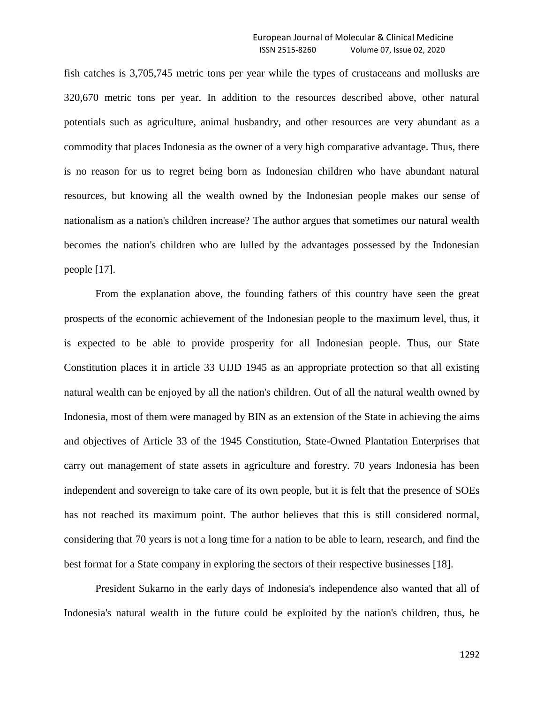fish catches is 3,705,745 metric tons per year while the types of crustaceans and mollusks are 320,670 metric tons per year. In addition to the resources described above, other natural potentials such as agriculture, animal husbandry, and other resources are very abundant as a commodity that places Indonesia as the owner of a very high comparative advantage. Thus, there is no reason for us to regret being born as Indonesian children who have abundant natural resources, but knowing all the wealth owned by the Indonesian people makes our sense of nationalism as a nation's children increase? The author argues that sometimes our natural wealth becomes the nation's children who are lulled by the advantages possessed by the Indonesian people [17].

From the explanation above, the founding fathers of this country have seen the great prospects of the economic achievement of the Indonesian people to the maximum level, thus, it is expected to be able to provide prosperity for all Indonesian people. Thus, our State Constitution places it in article 33 UIJD 1945 as an appropriate protection so that all existing natural wealth can be enjoyed by all the nation's children. Out of all the natural wealth owned by Indonesia, most of them were managed by BIN as an extension of the State in achieving the aims and objectives of Article 33 of the 1945 Constitution, State-Owned Plantation Enterprises that carry out management of state assets in agriculture and forestry. 70 years Indonesia has been independent and sovereign to take care of its own people, but it is felt that the presence of SOEs has not reached its maximum point. The author believes that this is still considered normal, considering that 70 years is not a long time for a nation to be able to learn, research, and find the best format for a State company in exploring the sectors of their respective businesses [18].

President Sukarno in the early days of Indonesia's independence also wanted that all of Indonesia's natural wealth in the future could be exploited by the nation's children, thus, he

1292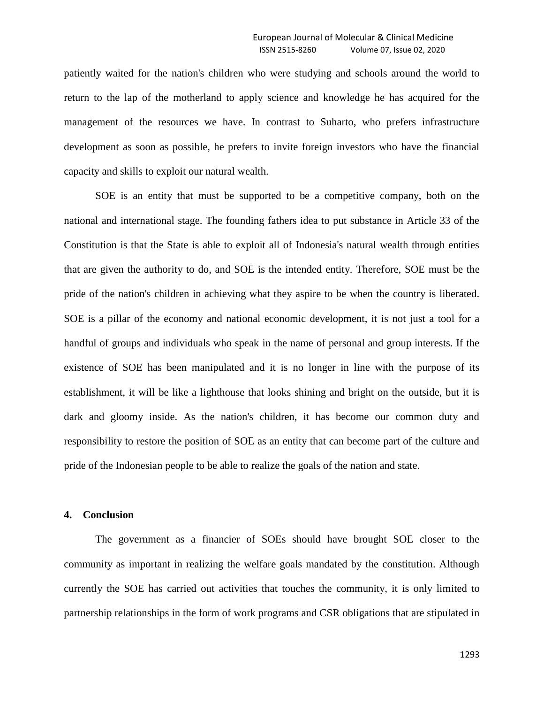patiently waited for the nation's children who were studying and schools around the world to return to the lap of the motherland to apply science and knowledge he has acquired for the management of the resources we have. In contrast to Suharto, who prefers infrastructure development as soon as possible, he prefers to invite foreign investors who have the financial capacity and skills to exploit our natural wealth.

SOE is an entity that must be supported to be a competitive company, both on the national and international stage. The founding fathers idea to put substance in Article 33 of the Constitution is that the State is able to exploit all of Indonesia's natural wealth through entities that are given the authority to do, and SOE is the intended entity. Therefore, SOE must be the pride of the nation's children in achieving what they aspire to be when the country is liberated. SOE is a pillar of the economy and national economic development, it is not just a tool for a handful of groups and individuals who speak in the name of personal and group interests. If the existence of SOE has been manipulated and it is no longer in line with the purpose of its establishment, it will be like a lighthouse that looks shining and bright on the outside, but it is dark and gloomy inside. As the nation's children, it has become our common duty and responsibility to restore the position of SOE as an entity that can become part of the culture and pride of the Indonesian people to be able to realize the goals of the nation and state.

#### **4. Conclusion**

The government as a financier of SOEs should have brought SOE closer to the community as important in realizing the welfare goals mandated by the constitution. Although currently the SOE has carried out activities that touches the community, it is only limited to partnership relationships in the form of work programs and CSR obligations that are stipulated in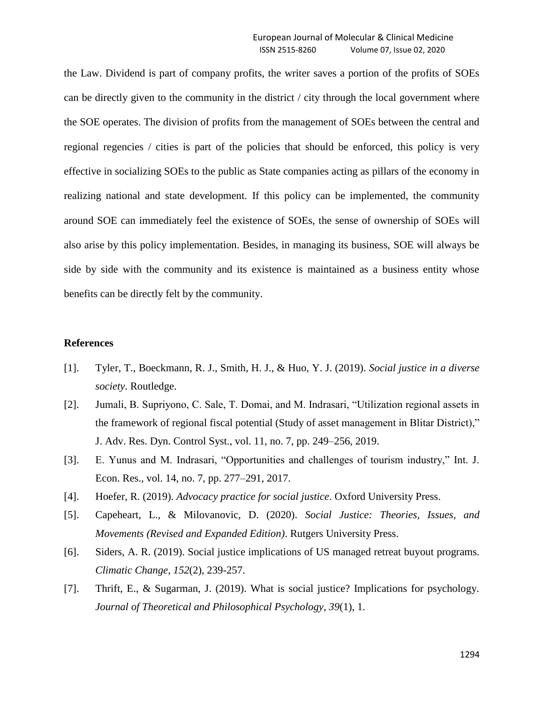the Law. Dividend is part of company profits, the writer saves a portion of the profits of SOEs can be directly given to the community in the district / city through the local government where the SOE operates. The division of profits from the management of SOEs between the central and regional regencies / cities is part of the policies that should be enforced, this policy is very effective in socializing SOEs to the public as State companies acting as pillars of the economy in realizing national and state development. If this policy can be implemented, the community around SOE can immediately feel the existence of SOEs, the sense of ownership of SOEs will also arise by this policy implementation. Besides, in managing its business, SOE will always be side by side with the community and its existence is maintained as a business entity whose benefits can be directly felt by the community.

## **References**

- [1]. Tyler, T., Boeckmann, R. J., Smith, H. J., & Huo, Y. J. (2019). *Social justice in a diverse society*. Routledge.
- [2]. Jumali, B. Supriyono, C. Sale, T. Domai, and M. Indrasari, "Utilization regional assets in the framework of regional fiscal potential (Study of asset management in Blitar District)," J. Adv. Res. Dyn. Control Syst., vol. 11, no. 7, pp. 249–256, 2019.
- [3]. E. Yunus and M. Indrasari, "Opportunities and challenges of tourism industry," Int. J. Econ. Res., vol. 14, no. 7, pp. 277–291, 2017.
- [4]. Hoefer, R. (2019). *Advocacy practice for social justice*. Oxford University Press.
- [5]. Capeheart, L., & Milovanovic, D. (2020). *Social Justice: Theories, Issues, and Movements (Revised and Expanded Edition)*. Rutgers University Press.
- [6]. Siders, A. R. (2019). Social justice implications of US managed retreat buyout programs. *Climatic Change*, *152*(2), 239-257.
- [7]. Thrift, E., & Sugarman, J. (2019). What is social justice? Implications for psychology. *Journal of Theoretical and Philosophical Psychology*, *39*(1), 1.